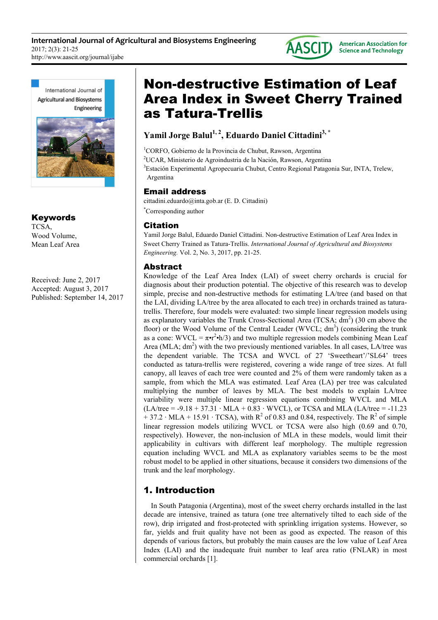

International Journal of **Agricultural and Biosystems** Engineering



Keywords TCSA, Wood Volume, Mean Leaf Area

Received: June 2, 2017 Accepted: August 3, 2017 Published: September 14, 2017

# Non-destructive Estimation of Leaf Area Index in Sweet Cherry Trained as Tatura-Trellis

**Yamil Jorge Balul1, 2, Eduardo Daniel Cittadini3, \***

<sup>1</sup>CORFO, Gobierno de la Provincia de Chubut, Rawson, Argentina

<sup>2</sup>UCAR, Ministerio de Agroindustria de la Nación, Rawson, Argentina

<sup>3</sup>Estación Experimental Agropecuaria Chubut, Centro Regional Patagonia Sur, INTA, Trelew, Argentina

### Email address

cittadini.eduardo@inta.gob.ar (E. D. Cittadini)

\*Corresponding author

## Citation

Yamil Jorge Balul, Eduardo Daniel Cittadini. Non-destructive Estimation of Leaf Area Index in Sweet Cherry Trained as Tatura-Trellis. *International Journal of Agricultural and Biosystems Engineering.* Vol. 2, No. 3, 2017, pp. 21-25.

## Abstract

Knowledge of the Leaf Area Index (LAI) of sweet cherry orchards is crucial for diagnosis about their production potential. The objective of this research was to develop simple, precise and non-destructive methods for estimating LA/tree (and based on that the LAI, dividing LA/tree by the area allocated to each tree) in orchards trained as taturatrellis. Therefore, four models were evaluated: two simple linear regression models using as explanatory variables the Trunk Cross-Sectional Area (TCSA;  $dm<sup>2</sup>$ ) (30 cm above the floor) or the Wood Volume of the Central Leader (WVCL;  $dm<sup>3</sup>$ ) (considering the trunk as a cone: WVCL =  $\pi \cdot r^2 \cdot h/3$ ) and two multiple regression models combining Mean Leaf Area (MLA;  $dm^2$ ) with the two previously mentioned variables. In all cases, LA/tree was the dependent variable. The TCSA and WVCL of 27 'Sweetheart'/'SL64' trees conducted as tatura-trellis were registered, covering a wide range of tree sizes. At full canopy, all leaves of each tree were counted and 2% of them were randomly taken as a sample, from which the MLA was estimated. Leaf Area (LA) per tree was calculated multiplying the number of leaves by MLA. The best models to explain LA/tree variability were multiple linear regression equations combining WVCL and MLA  $(LA$ /tree = -9.18 + 37.31 · MLA + 0.83 · WVCL), or TCSA and MLA (LA/tree = -11.23  $+ 37.2 \cdot \text{MLA} + 15.91 \cdot \text{TCSA}$ , with R<sup>2</sup> of 0.83 and 0.84, respectively. The R<sup>2</sup> of simple linear regression models utilizing WVCL or TCSA were also high (0.69 and 0.70, respectively). However, the non-inclusion of MLA in these models, would limit their applicability in cultivars with different leaf morphology. The multiple regression equation including WVCL and MLA as explanatory variables seems to be the most robust model to be applied in other situations, because it considers two dimensions of the trunk and the leaf morphology.

# 1. Introduction

In South Patagonia (Argentina), most of the sweet cherry orchards installed in the last decade are intensive, trained as tatura (one tree alternatively tilted to each side of the row), drip irrigated and frost-protected with sprinkling irrigation systems. However, so far, yields and fruit quality have not been as good as expected. The reason of this depends of various factors, but probably the main causes are the low value of Leaf Area Index (LAI) and the inadequate fruit number to leaf area ratio (FNLAR) in most commercial orchards [1].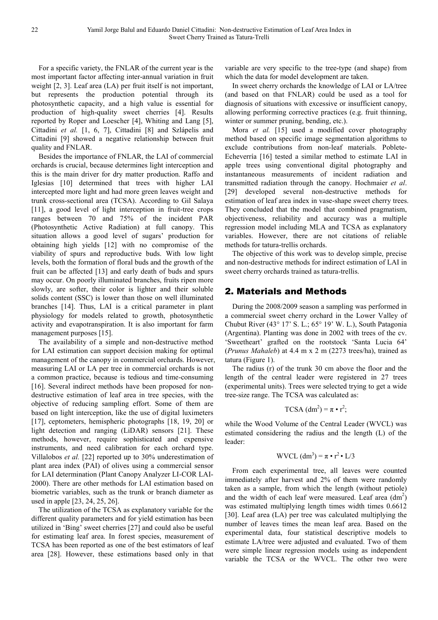For a specific variety, the FNLAR of the current year is the most important factor affecting inter-annual variation in fruit weight [2, 3]. Leaf area (LA) per fruit itself is not important, but represents the production potential through its photosynthetic capacity, and a high value is essential for production of high-quality sweet cherries [4]. Results reported by Roper and Loescher [4], Whiting and Lang [5], Cittadini *et al.* [1, 6, 7], Cittadini [8] and Szlápelis and Cittadini [9] showed a negative relationship between fruit quality and FNLAR.

Besides the importance of FNLAR, the LAI of commercial orchards is crucial, because determines light interception and this is the main driver for dry matter production. Raffo and Iglesias [10] determined that trees with higher LAI intercepted more light and had more green leaves weight and trunk cross-sectional area (TCSA). According to Gil Salaya [11], a good level of light interception in fruit-tree crops ranges between 70 and 75% of the incident PAR (Photosynthetic Active Radiation) at full canopy. This situation allows a good level of sugars' production for obtaining high yields [12] with no compromise of the viability of spurs and reproductive buds. With low light levels, both the formation of floral buds and the growth of the fruit can be affected [13] and early death of buds and spurs may occur. On poorly illuminated branches, fruits ripen more slowly, are softer, their color is lighter and their soluble solids content (SSC) is lower than those on well illuminated branches [14]. Thus, LAI is a critical parameter in plant physiology for models related to growth, photosynthetic activity and evapotranspiration. It is also important for farm management purposes [15].

The availability of a simple and non-destructive method for LAI estimation can support decision making for optimal management of the canopy in commercial orchards. However, measuring LAI or LA per tree in commercial orchards is not a common practice, because is tedious and time-consuming [16]. Several indirect methods have been proposed for nondestructive estimation of leaf area in tree species, with the objective of reducing sampling effort. Some of them are based on light interception, like the use of digital luximeters [17], ceptometers, hemispheric photographs [18, 19, 20] or light detection and ranging (LiDAR) sensors [21]. These methods, however, require sophisticated and expensive instruments, and need calibration for each orchard type. Villalobos *et al.* [22] reported up to 30% underestimation of plant area index (PAI) of olives using a commercial sensor for LAI determination (Plant Canopy Analyzer LI-COR LAI-2000). There are other methods for LAI estimation based on biometric variables, such as the trunk or branch diameter as used in apple [23, 24, 25, 26].

The utilization of the TCSA as explanatory variable for the different quality parameters and for yield estimation has been utilized in 'Bing' sweet cherries [27] and could also be useful for estimating leaf area. In forest species, measurement of TCSA has been reported as one of the best estimators of leaf area [28]. However, these estimations based only in that variable are very specific to the tree-type (and shape) from which the data for model development are taken.

In sweet cherry orchards the knowledge of LAI or LA/tree (and based on that FNLAR) could be used as a tool for diagnosis of situations with excessive or insufficient canopy, allowing performing corrective practices (e.g. fruit thinning, winter or summer pruning, bending, etc.).

Mora *et al.* [15] used a modified cover photography method based on specific image segmentation algorithms to exclude contributions from non-leaf materials. Poblete-Echeverría [16] tested a similar method to estimate LAI in apple trees using conventional digital photography and instantaneous measurements of incident radiation and transmitted radiation through the canopy. Hochmaier *et al*. [29] developed several non-destructive methods for estimation of leaf area index in vase-shape sweet cherry trees. They concluded that the model that combined pragmatism, objectiveness, reliability and accuracy was a multiple regression model including MLA and TCSA as explanatory variables. However, there are not citations of reliable methods for tatura-trellis orchards.

The objective of this work was to develop simple, precise and non-destructive methods for indirect estimation of LAI in sweet cherry orchards trained as tatura-trellis.

### 2. Materials and Methods

During the 2008/2009 season a sampling was performed in a commercial sweet cherry orchard in the Lower Valley of Chubut River (43° 17' S. L.; 65° 19' W. L.), South Patagonia (Argentina). Planting was done in 2002 with trees of the cv. 'Sweetheart' grafted on the rootstock 'Santa Lucia 64' (*Prunus Mahaleb*) at 4.4 m x 2 m (2273 trees/ha), trained as tatura (Figure 1).

The radius (r) of the trunk 30 cm above the floor and the length of the central leader were registered in 27 trees (experimental units). Trees were selected trying to get a wide tree-size range. The TCSA was calculated as:

$$
TCSA (dm2) = \pi \cdot r2;
$$

while the Wood Volume of the Central Leader (WVCL) was estimated considering the radius and the length (L) of the leader:

$$
WVCL (dm3) = \pi \cdot r2 \cdot L/3
$$

From each experimental tree, all leaves were counted immediately after harvest and 2% of them were randomly taken as a sample, from which the length (without petiole) and the width of each leaf were measured. Leaf area  $(dm<sup>2</sup>)$ was estimated multiplying length times width times 0.6612 [30]. Leaf area (LA) per tree was calculated multiplying the number of leaves times the mean leaf area. Based on the experimental data, four statistical descriptive models to estimate LA/tree were adjusted and evaluated. Two of them were simple linear regression models using as independent variable the TCSA or the WVCL. The other two were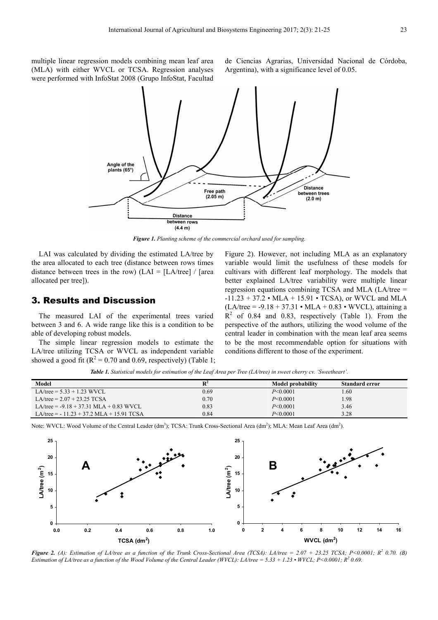multiple linear regression models combining mean leaf area (MLA) with either WVCL or TCSA. Regression analyses were performed with InfoStat 2008 (Grupo InfoStat, Facultad

de Ciencias Agrarias, Universidad Nacional de Córdoba, Argentina), with a significance level of 0.05.



*Figure 1. Planting scheme of the commercial orchard used for sampling.* 

LAI was calculated by dividing the estimated LA/tree by the area allocated to each tree (distance between rows times distance between trees in the row) (LAI =  $[LA$ /tree] / [area allocated per tree]).

### 3. Results and Discussion

The measured LAI of the experimental trees varied between 3 and 6. A wide range like this is a condition to be able of developing robust models.

The simple linear regression models to estimate the LA/tree utilizing TCSA or WVCL as independent variable showed a good fit ( $R^2 = 0.70$  and 0.69, respectively) (Table 1; Figure 2). However, not including MLA as an explanatory variable would limit the usefulness of these models for cultivars with different leaf morphology. The models that better explained LA/tree variability were multiple linear regression equations combining TCSA and MLA (LA/tree = -11.23 + 37.2 • MLA + 15.91 • TCSA), or WVCL and MLA  $(LA$ /tree = -9.18 + 37.31 • MLA + 0.83 • WVCL), attaining a  $R<sup>2</sup>$  of 0.84 and 0.83, respectively (Table 1). From the perspective of the authors, utilizing the wood volume of the central leader in combination with the mean leaf area seems to be the most recommendable option for situations with conditions different to those of the experiment.

*Table 1. Statistical models for estimation of the Leaf Area per Tree (LA/tree) in sweet cherry cv. 'Sweetheart'.* 

| Model                                      | $\mathbb{R}^2$ | Model probability | Standard error |
|--------------------------------------------|----------------|-------------------|----------------|
| $LA$ /tree = 5.33 + 1.23 WVCL              | 0.69           | $P \le 0.0001$    | .60            |
| LA/tree = $2.07 + 23.25$ TCSA              | 0.70           | $P \le 0.0001$    | .98            |
| $LA$ /tree = -9.18 + 37.31 MLA + 0.83 WVCL | 0.83           | $P \le 0.0001$    | 3.46           |
| LA/tree = $-11.23 + 37.2$ MLA + 15.91 TCSA | 0.84           | $P \le 0.0001$    | 3.28           |

Note: WVCL: Wood Volume of the Central Leader  $(dm<sup>3</sup>)$ ; TCSA: Trunk Cross-Sectional Area  $(dm<sup>2</sup>)$ ; MLA: Mean Leaf Area  $(dm<sup>2</sup>)$ .



**Figure 2.** (A): Estimation of LA/tree as a function of the Trunk Cross-Sectional Area (TCSA): LA/tree = 2.07 + 23.25 TCSA; P<0.0001; R<sup>2</sup> 0.70. (B) *Estimation of LA/tree as a function of the Wood Volume of the Central Leader (WVCL): LA/tree* = 5.33 + 1.23 • WVCL; P<0.0001; R<sup>2</sup> 0.69.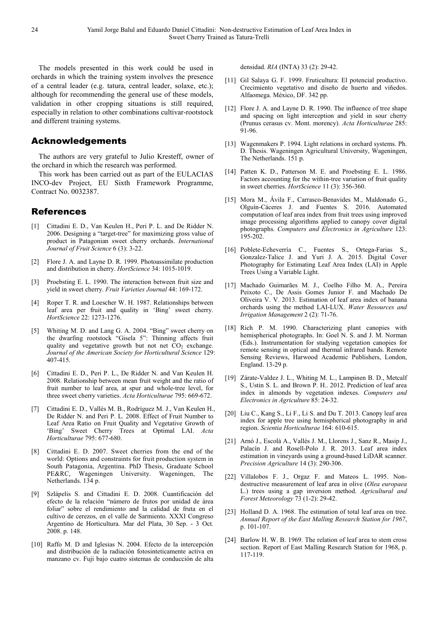The models presented in this work could be used in orchards in which the training system involves the presence of a central leader (e.g. tatura, central leader, solaxe, etc.); although for recommending the general use of these models, validation in other cropping situations is still required, especially in relation to other combinations cultivar-rootstock and different training systems.

### Acknowledgements

The authors are very grateful to Julio Kresteff, owner of the orchard in which the research was performed.

This work has been carried out as part of the EULACIAS INCO-dev Project, EU Sixth Framework Programme, Contract No. 0032387.

### References

- [1] Cittadini E. D., Van Keulen H., Peri P. L. and De Ridder N. 2006. Designing a "target-tree" for maximizing gross value of product in Patagonian sweet cherry orchards. *International Journal of Fruit Science* 6 (3): 3-22.
- [2] Flore J. A. and Layne D. R. 1999. Photoassimilate production and distribution in cherry. *HortScience* 34: 1015-1019.
- [3] Proebsting E. L. 1990. The interaction between fruit size and yield in sweet cherry. *Fruit Varieties Journal* 44: 169-172.
- [4] Roper T. R. and Loescher W. H. 1987. Relationships between leaf area per fruit and quality in 'Bing' sweet cherry. *HortScience* 22: 1273-1276.
- [5] Whiting M. D. and Lang G. A. 2004. "Bing" sweet cherry on the dwarfing rootstock "Gisela 5": Thinning affects fruit quality and vegetative growth but not net  $CO<sub>2</sub>$  exchange. *Journal of the American Society for Horticultural Science* 129: 407-415.
- [6] Cittadini E. D., Peri P. L., De Ridder N. and Van Keulen H. 2008. Relationship between mean fruit weight and the ratio of fruit number to leaf area, at spur and whole-tree level, for three sweet cherry varieties. *Acta Horticulturae* 795: 669-672.
- [7] Cittadini E. D., Vallés M. B., Rodríguez M. J., Van Keulen H., De Ridder N. and Peri P. L. 2008. Effect of Fruit Number to Leaf Area Ratio on Fruit Quality and Vegetative Growth of 'Bing' Sweet Cherry Trees at Optimal LAI. *Acta Horticulturae* 795: 677-680.
- [8] Cittadini E. D. 2007. Sweet cherries from the end of the world: Options and constraints for fruit production system in South Patagonia, Argentina. PhD Thesis, Graduate School PE&RC, Wageningen University. Wageningen, The Netherlands. 134 p.
- [9] Szlápelis S. and Cittadini E. D. 2008. Cuantificación del efecto de la relación "número de frutos por unidad de área foliar" sobre el rendimiento and la calidad de fruta en el cultivo de cerezos, en el valle de Sarmiento. XXXI Congreso Argentino de Horticultura. Mar del Plata, 30 Sep. - 3 Oct. 2008. p. 148.
- [10] Raffo M. D and Iglesias N. 2004. Efecto de la intercepción and distribución de la radiación fotosinteticamente activa en manzano cv. Fuji bajo cuatro sistemas de conducción de alta

densidad. *RIA* (INTA) 33 (2): 29-42.

- [11] Gil Salaya G. F. 1999. Fruticultura: El potencial productivo. Crecimiento vegetativo and diseño de huerto and viñedos. Alfaomega. México, DF. 342 pp.
- [12] Flore J. A. and Layne D. R. 1990. The influence of tree shape and spacing on light interception and yield in sour cherry (Prunus cerasus cv. Mont. morency). *Acta Horticulturae* 285: 91-96.
- [13] Wagenmakers P. 1994. Light relations in orchard systems. Ph. D. Thesis. Wageningen Agricultural University, Wageningen, The Netherlands. 151 p.
- [14] Patten K. D., Patterson M. E. and Proebsting E. L. 1986. Factors accounting for the within-tree variation of fruit quality in sweet cherries. *HortScience* 11 (3): 356-360.
- [15] Mora M., Ávila F., Carrasco-Benavides M., Maldonado G., Olguín-Cáceres J. and Fuentes S. 2016. Automated computation of leaf area index from fruit trees using improved image processing algorithms applied to canopy cover digital photographs. *Computers and Electronics in Agriculture* 123: 195-202.
- [16] Poblete-Echeverría C., Fuentes S., Ortega-Farias S., Gonzalez-Talice J. and Yuri J. A. 2015. Digital Cover Photography for Estimating Leaf Area Index (LAI) in Apple Trees Using a Variable Light.
- [17] Machado Guimarães M. J., Coelho Filho M. A., Pereira Peixoto C., De Assis Gomes Junior F. and Machado De Oliveira V. V. 2013. Estimation of leaf area index of banana orchards using the method LAI-LUX. *Water Resources and Irrigation Management* 2 (2): 71-76.
- [18] Rich P. M. 1990. Characterizing plant canopies with hemispherical photographs. In: Goel N. S. and J. M. Norman (Eds.). Instrumentation for studying vegetation canopies for remote sensing in optical and thermal infrared bands. Remote Sensing Reviews, Harwood Academic Publishers, London, England. 13-29 p.
- [19] Zárate-Valdez J. L., Whiting M. L., Lampinen B. D., Metcalf S., Ustin S. L. and Brown P. H.. 2012. Prediction of leaf area index in almonds by vegetation indexes. *Computers and Electronics in Agriculture* 85: 24-32.
- [20] Liu C., Kang S., Li F., Li S. and Du T. 2013. Canopy leaf area index for apple tree using hemispherical photography in arid region. *Scientia Horticulturae* 164: 610-615.
- [21] Arnó J., Escolà A., Vallès J. M., Llorens J., Sanz R., Masip J., Palacín J. and Rosell-Polo J. R. 2013. Leaf area index estimation in vineyards using a ground-based LiDAR scanner. *Precision Agriculture* 14 (3): 290-306.
- [22] Villalobos F. J., Orgaz F. and Mateos L. 1995. Nondestructive measurement of leaf area in olive (*Olea europaea* L.) trees using a gap inversion method. *Agricultural and Forest Meteorology* 73 (1-2): 29-42.
- [23] Holland D. A. 1968. The estimation of total leaf area on tree. *Annual Report of the East Malling Research Station for 1967*, p. 101-107.
- [24] Barlow H. W. B. 1969. The relation of leaf area to stem cross section. Report of East Malling Research Station for 1968, p. 117-119.